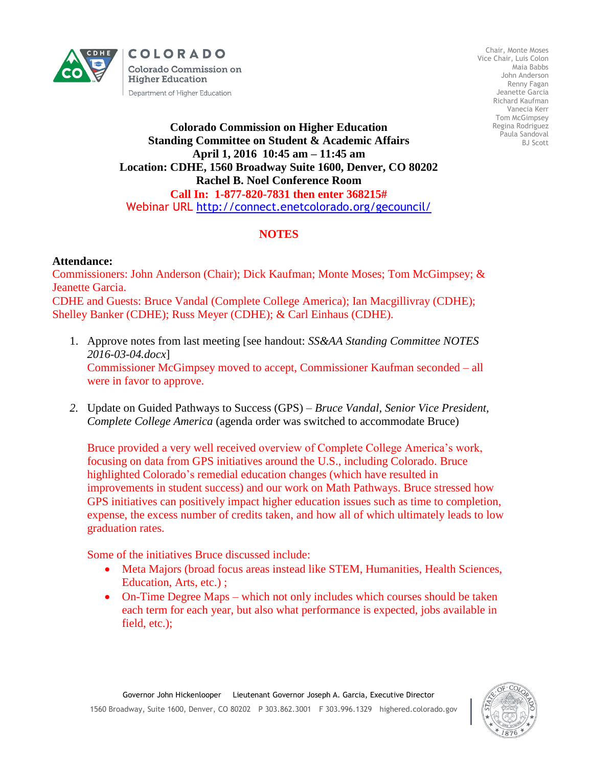

COLORADO **Colorado Commission on Higher Education** Department of Higher Education

Chair, Monte Moses Vice Chair, Luis Colon Maia Babbs John Anderson Renny Fagan Jeanette Garcia Richard Kaufman Vanecia Kerr Tom McGimpsey Regina Rodriguez Paula Sandoval BJ Scott

## **Colorado Commission on Higher Education Standing Committee on Student & Academic Affairs April 1, 2016 10:45 am – 11:45 am Location: CDHE, 1560 Broadway Suite 1600, Denver, CO 80202 Rachel B. Noel Conference Room Call In: 1-877-820-7831 then enter 368215#** Webinar URL<http://connect.enetcolorado.org/gecouncil/>

## **NOTES**

## **Attendance:**

Commissioners: John Anderson (Chair); Dick Kaufman; Monte Moses; Tom McGimpsey; & Jeanette Garcia. CDHE and Guests: Bruce Vandal (Complete College America); Ian Macgillivray (CDHE); Shelley Banker (CDHE); Russ Meyer (CDHE); & Carl Einhaus (CDHE).

- 1. Approve notes from last meeting [see handout: *SS&AA Standing Committee NOTES 2016-03-04.docx*] Commissioner McGimpsey moved to accept, Commissioner Kaufman seconded – all were in favor to approve.
- *2.* Update on Guided Pathways to Success (GPS) *Bruce Vandal, Senior Vice President, Complete College America* (agenda order was switched to accommodate Bruce)

Bruce provided a very well received overview of Complete College America's work, focusing on data from GPS initiatives around the U.S., including Colorado. Bruce highlighted Colorado's remedial education changes (which have resulted in improvements in student success) and our work on Math Pathways. Bruce stressed how GPS initiatives can positively impact higher education issues such as time to completion, expense, the excess number of credits taken, and how all of which ultimately leads to low graduation rates.

Some of the initiatives Bruce discussed include:

- Meta Majors (broad focus areas instead like STEM, Humanities, Health Sciences, Education, Arts, etc.) ;
- On-Time Degree Maps which not only includes which courses should be taken each term for each year, but also what performance is expected, jobs available in field, etc.);

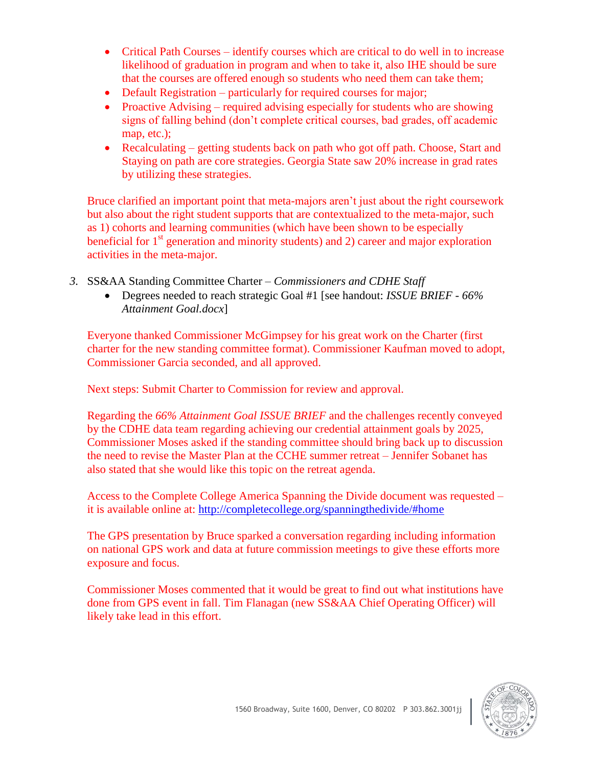- Critical Path Courses identify courses which are critical to do well in to increase likelihood of graduation in program and when to take it, also IHE should be sure that the courses are offered enough so students who need them can take them;
- Default Registration particularly for required courses for major;
- Proactive Advising required advising especially for students who are showing signs of falling behind (don't complete critical courses, bad grades, off academic map, etc.);
- Recalculating getting students back on path who got off path. Choose, Start and Staying on path are core strategies. Georgia State saw 20% increase in grad rates by utilizing these strategies.

Bruce clarified an important point that meta-majors aren't just about the right coursework but also about the right student supports that are contextualized to the meta-major, such as 1) cohorts and learning communities (which have been shown to be especially beneficial for  $1<sup>st</sup>$  generation and minority students) and 2) career and major exploration activities in the meta-major.

- *3.* SS&AA Standing Committee Charter *Commissioners and CDHE Staff*
	- Degrees needed to reach strategic Goal #1 [see handout: *ISSUE BRIEF - 66% Attainment Goal.docx*]

Everyone thanked Commissioner McGimpsey for his great work on the Charter (first charter for the new standing committee format). Commissioner Kaufman moved to adopt, Commissioner Garcia seconded, and all approved.

Next steps: Submit Charter to Commission for review and approval.

Regarding the *66% Attainment Goal ISSUE BRIEF* and the challenges recently conveyed by the CDHE data team regarding achieving our credential attainment goals by 2025, Commissioner Moses asked if the standing committee should bring back up to discussion the need to revise the Master Plan at the CCHE summer retreat – Jennifer Sobanet has also stated that she would like this topic on the retreat agenda.

Access to the Complete College America Spanning the Divide document was requested – it is available online at:<http://completecollege.org/spanningthedivide/#home>

The GPS presentation by Bruce sparked a conversation regarding including information on national GPS work and data at future commission meetings to give these efforts more exposure and focus.

Commissioner Moses commented that it would be great to find out what institutions have done from GPS event in fall. Tim Flanagan (new SS&AA Chief Operating Officer) will likely take lead in this effort.